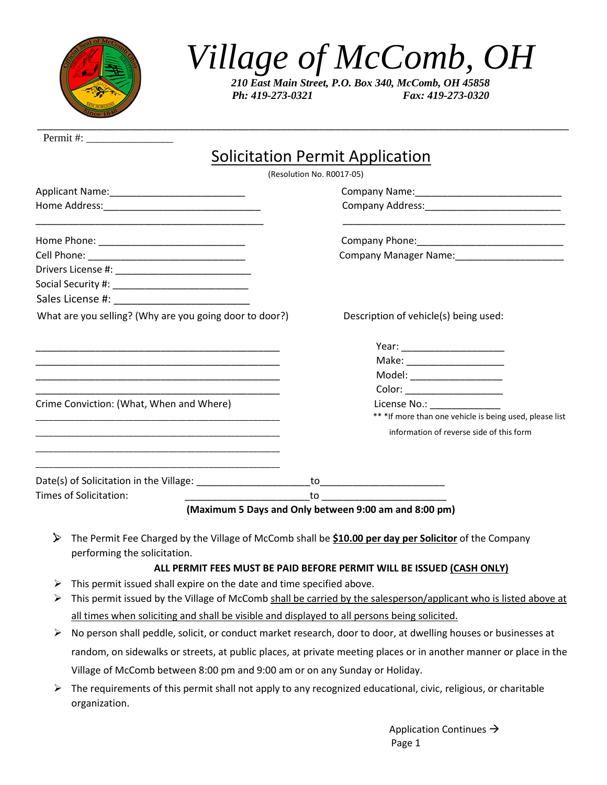

## *Village of McComb, OH*

*210 East Main Street, P.O. Box 340, McComb, OH 45858 Ph: 419-273-0321 Fax: 419-273-0320*

| Permit #:                                                                                                            |                                                         |  |
|----------------------------------------------------------------------------------------------------------------------|---------------------------------------------------------|--|
|                                                                                                                      | Solicitation Permit Application                         |  |
| (Resolution No. R0017-05)                                                                                            |                                                         |  |
| Applicant Name: _________________________________                                                                    |                                                         |  |
|                                                                                                                      |                                                         |  |
|                                                                                                                      |                                                         |  |
| Cell Phone: ___________________________________                                                                      | Company Manager Name: 2008                              |  |
| Drivers License #: _______________________________                                                                   |                                                         |  |
| Social Security #: _________________________________                                                                 |                                                         |  |
|                                                                                                                      |                                                         |  |
| What are you selling? (Why are you going door to door?)                                                              | Description of vehicle(s) being used:                   |  |
| <u> 1989 - Johann Stoff, amerikansk politiker (d. 1989)</u>                                                          |                                                         |  |
| <u> 1990 - Jan James James James James James James James James James James James James James James James James J</u> |                                                         |  |
| <u> 1990 - Jan James James James James James James James James James James James James James James James James J</u> | Model: ____________________                             |  |
|                                                                                                                      | Color: _______________________                          |  |
| Crime Conviction: (What, When and Where)                                                                             |                                                         |  |
|                                                                                                                      | ** *If more than one vehicle is being used, please list |  |
|                                                                                                                      | information of reverse side of this form                |  |
|                                                                                                                      |                                                         |  |
|                                                                                                                      |                                                         |  |
| Times of Solicitation:                                                                                               | _to _______________________________                     |  |

**(Maximum 5 Days and Only between 9:00 am and 8:00 pm)**

The Permit Fee Charged by the Village of McComb shall be **\$10.00 per day per Solicitor** of the Company performing the solicitation.

## **ALL PERMIT FEES MUST BE PAID BEFORE PERMIT WILL BE ISSUED (CASH ONLY)**

- $\triangleright$  This permit issued shall expire on the date and time specified above.
- $\triangleright$  This permit issued by the Village of McComb shall be carried by the salesperson/applicant who is listed above at all times when soliciting and shall be visible and displayed to all persons being solicited.
- ➢ No person shall peddle, solicit, or conduct market research, door to door, at dwelling houses or businesses at random, on sidewalks or streets, at public places, at private meeting places or in another manner or place in the Village of McComb between 8:00 pm and 9:00 am or on any Sunday or Holiday.
- $\triangleright$  The requirements of this permit shall not apply to any recognized educational, civic, religious, or charitable organization.